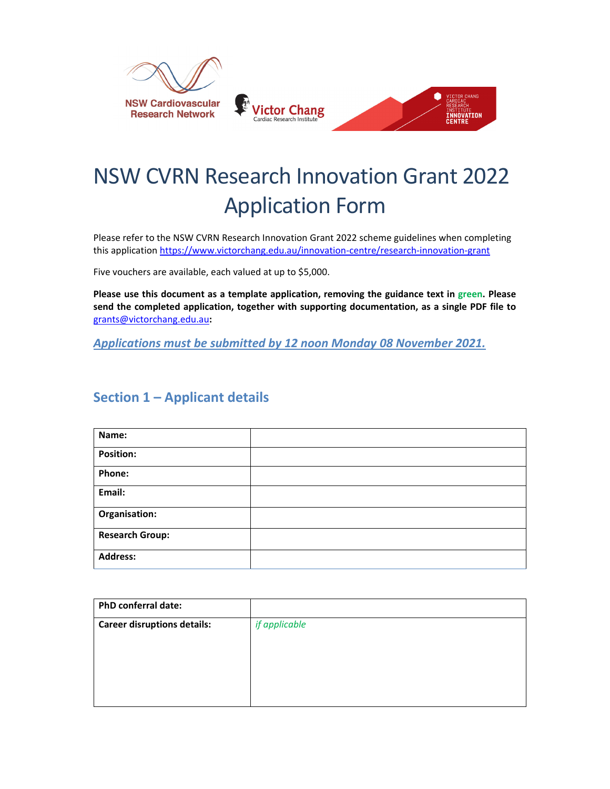

# NSW CVRN Research Innovation Grant 2022 Application Form

Please refer to the NSW CVRN Research Innovation Grant 2022 scheme guidelines when completing this application https://www.victorchang.edu.au/innovation‐centre/research‐innovation‐grant

Five vouchers are available, each valued at up to \$5,000.

**Please use this document as a template application, removing the guidance text in green. Please send the completed application, together with supporting documentation, as a single PDF file to** grants@victorchang.edu.au**:**

*Applications must be submitted by 12 noon Monday 08 November 2021.*

## **Section 1 – Applicant details**

| Name:                  |  |
|------------------------|--|
| <b>Position:</b>       |  |
| Phone:                 |  |
| Email:                 |  |
| Organisation:          |  |
| <b>Research Group:</b> |  |
| <b>Address:</b>        |  |

| PhD conferral date:                |               |
|------------------------------------|---------------|
| <b>Career disruptions details:</b> | if applicable |
|                                    |               |
|                                    |               |
|                                    |               |
|                                    |               |
|                                    |               |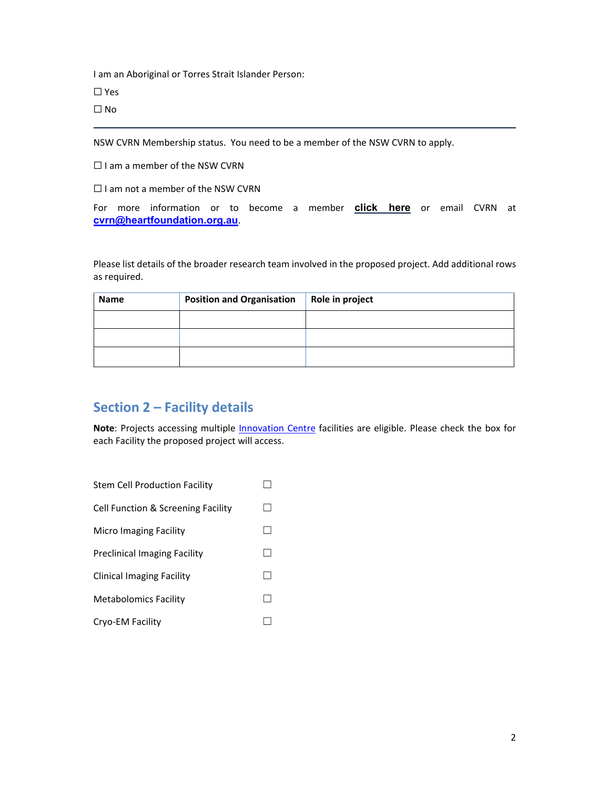I am an Aboriginal or Torres Strait Islander Person:

 $\Box$  Yes

☐ No

NSW CVRN Membership status. You need to be a member of the NSW CVRN to apply.

□ I am a member of the NSW CVRN

 $\Box$  I am not a member of the NSW CVRN

For more information or to become a member **click here** or email CVRN at **cvrn@heartfoundation.org.au**.

Please list details of the broader research team involved in the proposed project. Add additional rows as required.

| <b>Name</b> | <b>Position and Organisation</b> | Role in project |
|-------------|----------------------------------|-----------------|
|             |                                  |                 |
|             |                                  |                 |
|             |                                  |                 |

# **Section 2 – Facility details**

Note: Projects accessing multiple *Innovation Centre* facilities are eligible. Please check the box for each Facility the proposed project will access.

| <b>Stem Cell Production Facility</b> |  |
|--------------------------------------|--|
| Cell Function & Screening Facility   |  |
| Micro Imaging Facility               |  |
| <b>Preclinical Imaging Facility</b>  |  |
| Clinical Imaging Facility            |  |
| <b>Metabolomics Facility</b>         |  |
| Cryo-EM Facility                     |  |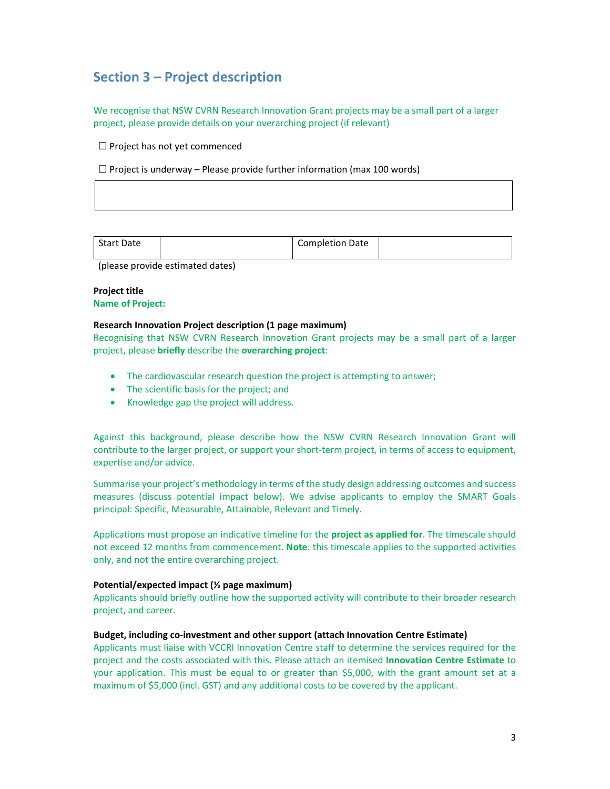# **Section 3 – Project description**

We recognise that NSW CVRN Research Innovation Grant projects may be a small part of a larger project, please provide details on your overarching project (if relevant)

☐ Project has not yet commenced

 $\Box$  Project is underway – Please provide further information (max 100 words)

| <b>Start Date</b> | Completion Date |  |
|-------------------|-----------------|--|
|                   |                 |  |

(please provide estimated dates)

### **Project title**

**Name of Project:**

#### **Research Innovation Project description (1 page maximum)**

Recognising that NSW CVRN Research Innovation Grant projects may be a small part of a larger project, please **briefly** describe the **overarching project**:

- The cardiovascular research question the project is attempting to answer;
- The scientific basis for the project; and
- Knowledge gap the project will address.

Against this background, please describe how the NSW CVRN Research Innovation Grant will contribute to the larger project, or support your short-term project, in terms of access to equipment, expertise and/or advice.

Summarise your project's methodology in terms of the study design addressing outcomes and success measures (discuss potential impact below). We advise applicants to employ the SMART Goals principal: Specific, Measurable, Attainable, Relevant and Timely.

Applications must propose an indicative timeline for the **project as applied for**. The timescale should not exceed 12 months from commencement. **Note**: this timescale applies to the supported activities only, and not the entire overarching project.

#### **Potential/expected impact (½ page maximum)**

Applicants should briefly outline how the supported activity will contribute to their broader research project, and career.

#### **Budget, including co‐investment and other support (attach Innovation Centre Estimate)**

Applicants must liaise with VCCRI Innovation Centre staff to determine the services required for the project and the costs associated with this. Please attach an itemised **Innovation Centre Estimate** to your application. This must be equal to or greater than \$5,000, with the grant amount set at a maximum of \$5,000 (incl. GST) and any additional costs to be covered by the applicant.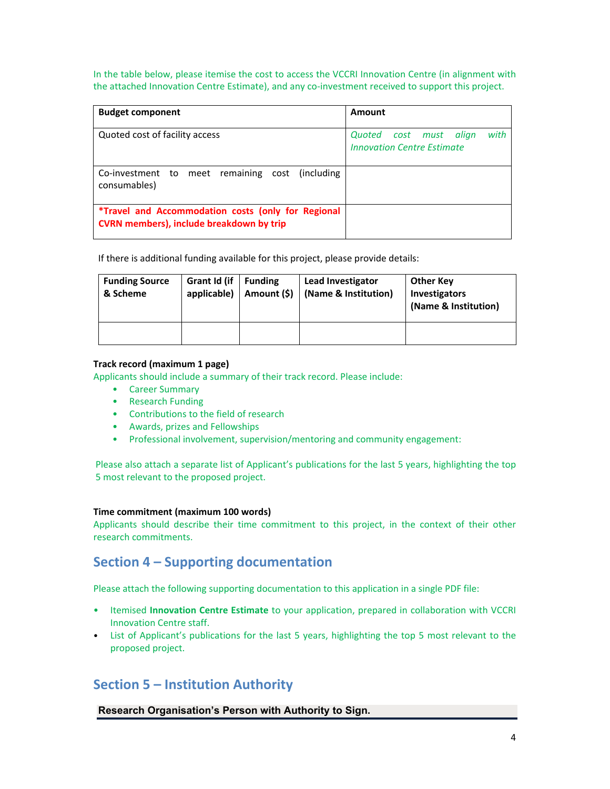In the table below, please itemise the cost to access the VCCRI Innovation Centre (in alignment with the attached Innovation Centre Estimate), and any co-investment received to support this project.

| <b>Budget component</b>                                                                               | Amount                                                                 |
|-------------------------------------------------------------------------------------------------------|------------------------------------------------------------------------|
| Quoted cost of facility access                                                                        | with<br>Quoted cost must<br>align<br><b>Innovation Centre Estimate</b> |
| Co-investment to meet remaining cost<br><i>l</i> including<br>consumables)                            |                                                                        |
| *Travel and Accommodation costs (only for Regional<br><b>CVRN members), include breakdown by trip</b> |                                                                        |

If there is additional funding available for this project, please provide details:

| <b>Funding Source</b><br>& Scheme | Grant Id (if<br>applicable) | <b>Funding</b><br>Amount (\$) | Lead Investigator<br>(Name & Institution) | <b>Other Key</b><br><b>Investigators</b><br>(Name & Institution) |
|-----------------------------------|-----------------------------|-------------------------------|-------------------------------------------|------------------------------------------------------------------|
|                                   |                             |                               |                                           |                                                                  |

#### **Track record (maximum 1 page)**

Applicants should include a summary of their track record. Please include:

- Career Summary
- Research Funding
- Contributions to the field of research
- Awards, prizes and Fellowships
- Professional involvement, supervision/mentoring and community engagement:

Please also attach a separate list of Applicant's publications for the last 5 years, highlighting the top 5 most relevant to the proposed project.

#### **Time commitment (maximum 100 words)**

Applicants should describe their time commitment to this project, in the context of their other research commitments.

## **Section 4 – Supporting documentation**

Please attach the following supporting documentation to this application in a single PDF file:

- Itemised **Innovation Centre Estimate** to your application, prepared in collaboration with VCCRI Innovation Centre staff.
- List of Applicant's publications for the last 5 years, highlighting the top 5 most relevant to the proposed project.

## **Section 5 – Institution Authority**

**Research Organisation's Person with Authority to Sign.**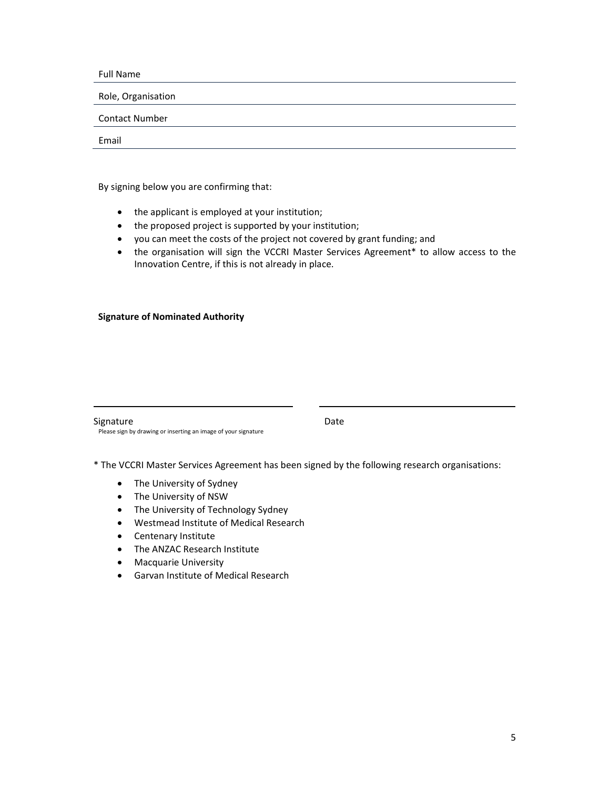Full Name

Role, Organisation

Contact Number

Email

By signing below you are confirming that:

- the applicant is employed at your institution;
- the proposed project is supported by your institution;
- you can meet the costs of the project not covered by grant funding; and
- the organisation will sign the VCCRI Master Services Agreement\* to allow access to the Innovation Centre, if this is not already in place.

#### **Signature of Nominated Authority**

Signature Date

\* The VCCRI Master Services Agreement has been signed by the following research organisations:

• The University of Sydney

Please sign by drawing or inserting an image of your signature

- The University of NSW
- The University of Technology Sydney
- Westmead Institute of Medical Research
- Centenary Institute
- The ANZAC Research Institute
- **•** Macquarie University
- Garvan Institute of Medical Research